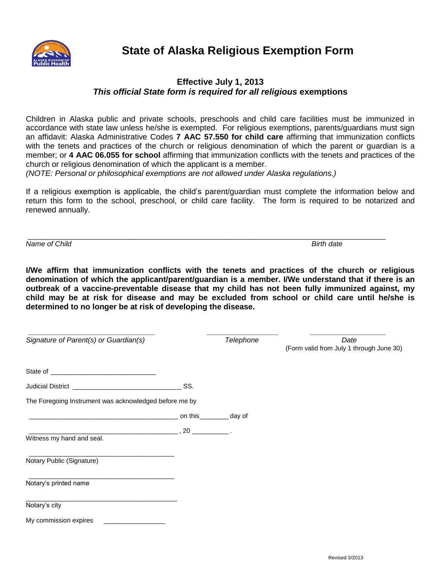

## **Effective July 1, 2013** *This official State form is required for all religious* **exemptions**

Children in Alaska public and private schools, preschools and child care facilities must be immunized in accordance with state law unless he/she is exempted. For religious exemptions, parents/guardians must sign an affidavit: Alaska Administrative Codes **7 AAC 57.550 for child care** affirming that immunization conflicts with the tenets and practices of the church or religious denomination of which the parent or guardian is a member; or **4 AAC 06.055 for school** affirming that immunization conflicts with the tenets and practices of the church or religious denomination of which the applicant is a member.

*(NOTE: Personal or philosophical exemptions are not allowed under Alaska regulations.)*

If a religious exemption is applicable, the child's parent/guardian must complete the information below and return this form to the school, preschool, or child care facility. The form is required to be notarized and renewed annually.

\_\_\_\_\_\_\_\_\_\_\_\_\_\_\_\_\_\_\_\_\_\_\_\_\_\_\_\_\_\_\_\_\_\_\_\_\_\_\_\_\_\_\_\_\_\_\_\_\_\_\_\_\_\_\_\_\_\_\_\_\_\_\_\_\_\_\_\_\_\_\_\_\_\_\_\_\_\_\_\_\_\_\_\_\_\_\_\_\_\_ *Name of Child Birth date*

**I/We affirm that immunization conflicts with the tenets and practices of the church or religious denomination of which the applicant/parent/guardian is a member. I/We understand that if there is an outbreak of a vaccine-preventable disease that my child has not been fully immunized against, my child may be at risk for disease and may be excluded from school or child care until he/she is determined to no longer be at risk of developing the disease.**

| Signature of Parent(s) or Guardian(s)                  |                                                          | Telephone | Date<br>(Form valid from July 1 through June 30) |
|--------------------------------------------------------|----------------------------------------------------------|-----------|--------------------------------------------------|
|                                                        |                                                          |           |                                                  |
|                                                        | SS.                                                      |           |                                                  |
| The Foregoing Instrument was acknowledged before me by |                                                          |           |                                                  |
|                                                        |                                                          |           |                                                  |
|                                                        | $\overline{\phantom{a}}$ , 20 $\overline{\phantom{a}}$ . |           |                                                  |
| Witness my hand and seal.                              |                                                          |           |                                                  |
| Notary Public (Signature)                              |                                                          |           |                                                  |
| Notary's printed name                                  |                                                          |           |                                                  |
| Notary's city                                          |                                                          |           |                                                  |
| My commission expires                                  |                                                          |           |                                                  |